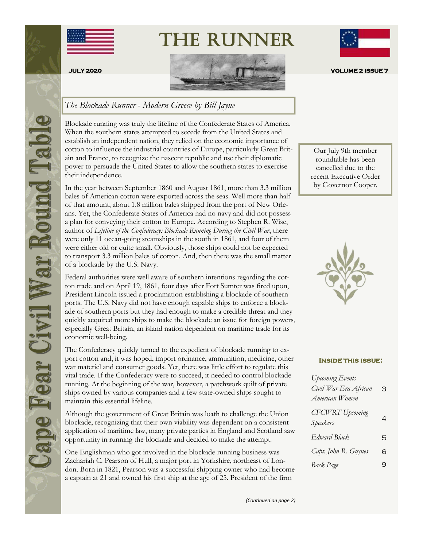

The Runner



## *The Blockade Runner - Modern Greece by Bill Jayne*

Blockade running was truly the lifeline of the Confederate States of America. When the southern states attempted to secede from the United States and establish an independent nation, they relied on the economic importance of cotton to influence the industrial countries of Europe, particularly Great Britain and France, to recognize the nascent republic and use their diplomatic power to persuade the United States to allow the southern states to exercise their independence.

In the year between September 1860 and August 1861, more than 3.3 million bales of American cotton were exported across the seas. Well more than half of that amount, about 1.8 million bales shipped from the port of New Orleans. Yet, the Confederate States of America had no navy and did not possess a plan for conveying their cotton to Europe. According to Stephen R. Wise, author of *Lifeline of the Confederacy: Blockade Running During the Civil War*, there were only 11 ocean-going steamships in the south in 1861, and four of them were either old or quite small. Obviously, those ships could not be expected to transport 3.3 million bales of cotton. And, then there was the small matter of a blockade by the U.S. Navy.

Federal authorities were well aware of southern intentions regarding the cotton trade and on April 19, 1861, four days after Fort Sumter was fired upon, President Lincoln issued a proclamation establishing a blockade of southern ports. The U.S. Navy did not have enough capable ships to enforce a blockade of southern ports but they had enough to make a credible threat and they quickly acquired more ships to make the blockade an issue for foreign powers, especially Great Britain, an island nation dependent on maritime trade for its economic well-being.

The Confederacy quickly turned to the expedient of blockade running to export cotton and, it was hoped, import ordnance, ammunition, medicine, other war materiel and consumer goods. Yet, there was little effort to regulate this vital trade. If the Confederacy were to succeed, it needed to control blockade running. At the beginning of the war, however, a patchwork quilt of private ships owned by various companies and a few state-owned ships sought to maintain this essential lifeline.

Although the government of Great Britain was loath to challenge the Union blockade, recognizing that their own viability was dependent on a consistent application of maritime law, many private parties in England and Scotland saw opportunity in running the blockade and decided to make the attempt.

One Englishman who got involved in the blockade running business was Zachariah C. Pearson of Hull, a major port in Yorkshire, northeast of London. Born in 1821, Pearson was a successful shipping owner who had become a captain at 21 and owned his first ship at the age of 25. President of the firm

Our July 9th member roundtable has been cancelled due to the recent Executive Order by Governor Cooper.



#### **Inside this issue:**

| <b>Upcoming Events</b><br>Civil War Era African<br>American Women | З |
|-------------------------------------------------------------------|---|
| <b>CFCWRT</b> Upcoming<br>Speakers                                | 4 |
| Edward Black                                                      | 5 |
| Capt. John R. Guynes                                              | 6 |
| Back Page                                                         | 9 |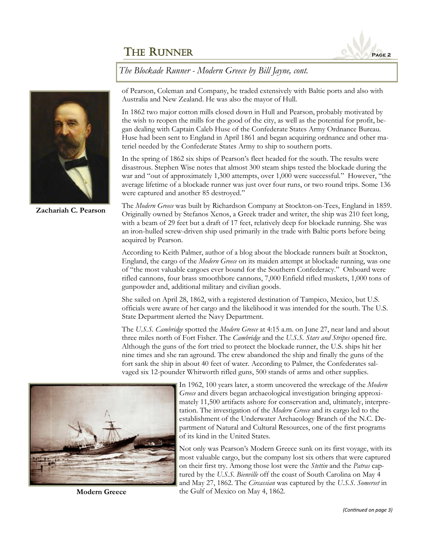

*The Blockade Runner - Modern Greece by Bill Jayne, cont.*



**Zachariah C. Pearson**

of Pearson, Coleman and Company, he traded extensively with Baltic ports and also with Australia and New Zealand. He was also the mayor of Hull.

In 1862 two major cotton mills closed down in Hull and Pearson, probably motivated by the wish to reopen the mills for the good of the city, as well as the potential for profit, began dealing with Captain Caleb Huse of the Confederate States Army Ordnance Bureau. Huse had been sent to England in April 1861 and began acquiring ordnance and other materiel needed by the Confederate States Army to ship to southern ports.

In the spring of 1862 six ships of Pearson's fleet headed for the south. The results were disastrous. Stephen Wise notes that almost 300 steam ships tested the blockade during the war and "out of approximately 1,300 attempts, over 1,000 were successful." However, "the average lifetime of a blockade runner was just over four runs, or two round trips. Some 136 were captured and another 85 destroyed."

The *Modern Greece* was built by Richardson Company at Stockton-on-Tees, England in 1859. Originally owned by Stefanos Xenos, a Greek trader and writer, the ship was 210 feet long, with a beam of 29 feet but a draft of 17 feet, relatively deep for blockade running. She was an iron-hulled screw-driven ship used primarily in the trade with Baltic ports before being acquired by Pearson.

According to Keith Palmer, author of a blog about the blockade runners built at Stockton, England, the cargo of the *Modern Greece* on its maiden attempt at blockade running, was one of "the most valuable cargoes ever bound for the Southern Confederacy." Onboard were rifled cannons, four brass smoothbore cannons, 7,000 Enfield rifled muskets, 1,000 tons of gunpowder and, additional military and civilian goods.

She sailed on April 28, 1862, with a registered destination of Tampico, Mexico, but U.S. officials were aware of her cargo and the likelihood it was intended for the south. The U.S. State Department alerted the Navy Department.

The *U.S.S. Cambridge* spotted the *Modern Greece* at 4:15 a.m. on June 27, near land and about three miles north of Fort Fisher. The *Cambridge* and the *U.S.S. Stars and Stripes* opened fire. Although the guns of the fort tried to protect the blockade runner, the U.S. ships hit her nine times and she ran aground. The crew abandoned the ship and finally the guns of the fort sank the ship in about 40 feet of water. According to Palmer, the Confederates salvaged six 12-pounder Whitworth rifled guns, 500 stands of arms and other supplies.



**Modern Greece**

In 1962, 100 years later, a storm uncovered the wreckage of the *Modern Greece* and divers began archaeological investigation bringing approximately 11,500 artifacts ashore for conservation and, ultimately, interpretation. The investigation of the *Modern Greece* and its cargo led to the establishment of the Underwater Archaeology Branch of the N.C. Department of Natural and Cultural Resources, one of the first programs of its kind in the United States.

Not only was Pearson's Modern Greece sunk on its first voyage, with its most valuable cargo, but the company lost six others that were captured on their first try. Among those lost were the *Stettin* and the *Patras* captured by the *U.S.S. Bienville* off the coast of South Carolina on May 4 and May 27, 1862. The *Circassian* was captured by the *U.S.S. Somerset* in the Gulf of Mexico on May 4, 1862.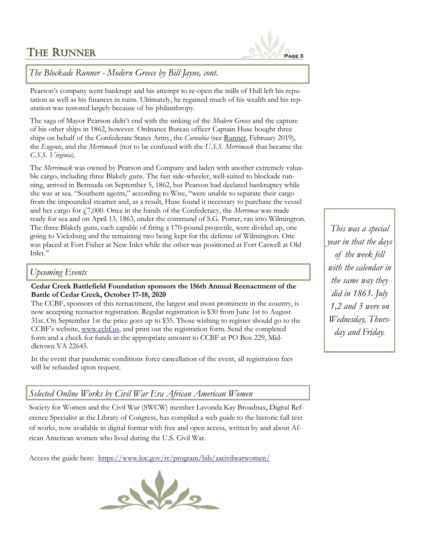

## *The Blockade Runner - Modern Greece by Bill Jayne, cont.*

Pearson's company went bankrupt and his attempt to re-open the mills of Hull left his reputation as well as his finances in ruins. Ultimately, he regained much of his wealth and his reputation was restored largely because of his philanthropy.

The saga of Mayor Pearson didn't end with the sinking of the *Modern Greece* and the capture of his other ships in 1862, however. Ordnance Bureau officer Captain Huse bought three ships on behalf of the Confederate States Army, the *Cornubia* (see Runner, February 2019), the *Eugenie*, and the *Merrimack* (not to be confused with the *U.S.S. Merrimack* that became the *C.S.S. Virginia*).

The *Merrimack* was owned by Pearson and Company and laden with another extremely valuable cargo, including three Blakely guns. The fast side-wheeler, well-suited to blockade running, arrived in Bermuda on September 5, 1862, but Pearson had declared bankruptcy while she was at sea. "Southern agents," according to Wise, "were unable to separate their cargo from the impounded steamer and, as a result, Huse found it necessary to purchase the vessel and her cargo for £7,000. Once in the hands of the Confederacy, the *Merrimac* was made ready for sea and on April 13, 1863, under the command of S.G. Porter, ran into Wilmington. The three Blakely guns, each capable of firing a 170-pound projectile, were divided up, one going to Vicksburg and the remaining two being kept for the defense of Wilmington. One was placed at Fort Fisher at New Inlet while the other was positioned at Fort Caswell at Old Inlet."

#### *Upcoming Events*

#### **Cedar Creek Battlefield Foundation sponsors the 156th Annual Reenactment of the Battle of Cedar Creek, October 17-18, 2020**

The CCBF, sponsors of this reenactment, the largest and most prominent in the country, is now accepting reenactor registration. Regular registration is \$30 from June 1st to August 31st. On September 1st the price goes up to \$35. Those wishing to register should go to the CCBF's website, [www.ccbf.us,](http://www.ccbf.us) and print out the registration form. Send the completed form and a check for funds in the appropriate amount to CCBF at PO Box 229, Middletown VA 22645.

In the event that pandemic conditions force cancellation of the event, all registration fees will be refunded upon request.

#### *Selected Online Works by Civil War Era African American Women*

Society for Women and the Civil War (SWCW) member Lavonda Kay Broadnax, Digital Reference Specialist at the Library of Congress, has compiled a web guide to the historic full text of works, now available in digital format with free and open access, written by and about African American women who lived during the U.S. Civil War.

Access the guide here: <https://www.loc.gov/rr/program/bib/aacivilwarwomen/>



*This was a special year in that the days of the week fell with the calendar in the same way they did in 1863. July 1,2 and 3 were on Wednesday, Thursday and Friday.*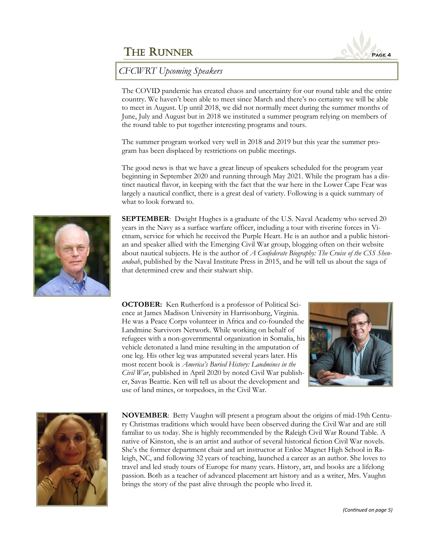

*CFCWRT Upcoming Speakers*

The COVID pandemic has created chaos and uncertainty for our round table and the entire country. We haven't been able to meet since March and there's no certainty we will be able to meet in August. Up until 2018, we did not normally meet during the summer months of June, July and August but in 2018 we instituted a summer program relying on members of the round table to put together interesting programs and tours.

The summer program worked very well in 2018 and 2019 but this year the summer program has been displaced by restrictions on public meetings.

The good news is that we have a great lineup of speakers scheduled for the program year beginning in September 2020 and running through May 2021. While the program has a distinct nautical flavor, in keeping with the fact that the war here in the Lower Cape Fear was largely a nautical conflict, there is a great deal of variety. Following is a quick summary of what to look forward to.



**SEPTEMBER**: Dwight Hughes is a graduate of the U.S. Naval Academy who served 20 years in the Navy as a surface warfare officer, including a tour with riverine forces in Vietnam, service for which he received the Purple Heart. He is an author and a public historian and speaker allied with the Emerging Civil War group, blogging often on their website about nautical subjects. He is the author of *A Confederate Biography: The Cruise of the CSS Shenandoah*, published by the Naval Institute Press in 2015, and he will tell us about the saga of that determined crew and their stalwart ship.

**OCTOBER:** Ken Rutherford is a professor of Political Science at James Madison University in Harrisonburg, Virginia. He was a Peace Corps volunteer in Africa and co-founded the Landmine Survivors Network. While working on behalf of refugees with a non-governmental organization in Somalia, his vehicle detonated a land mine resulting in the amputation of one leg. His other leg was amputated several years later. His most recent book is *America's Buried History: Landmines in the Civil War*, published in April 2020 by noted Civil War publisher, Savas Beattie. Ken will tell us about the development and use of land mines, or torpedoes, in the Civil War.





**NOVEMBER**: Betty Vaughn will present a program about the origins of mid-19th Century Christmas traditions which would have been observed during the Civil War and are still familiar to us today. She is highly recommended by the Raleigh Civil War Round Table. A native of Kinston, she is an artist and author of several historical fiction Civil War novels. She's the former department chair and art instructor at Enloe Magnet High School in Raleigh, NC, and following 32 years of teaching, launched a career as an author. She loves to travel and led study tours of Europe for many years. History, art, and books are a lifelong passion. Both as a teacher of advanced placement art history and as a writer, Mrs. Vaughn brings the story of the past alive through the people who lived it.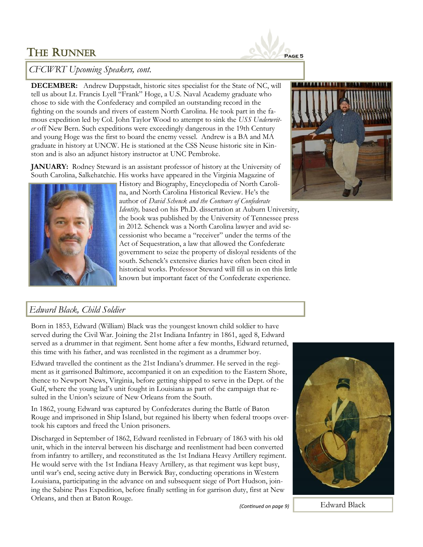

## *CFCWRT Upcoming Speakers, cont.*

**DECEMBER:** Andrew Duppstadt, historic sites specialist for the State of NC, will tell us about Lt. Francis Lyell "Frank" Hoge, a U.S. Naval Academy graduate who chose to side with the Confederacy and compiled an outstanding record in the fighting on the sounds and rivers of eastern North Carolina. He took part in the famous expedition led by Col. John Taylor Wood to attempt to sink the *USS Underwriter* off New Bern. Such expeditions were exceedingly dangerous in the 19th Century and young Hoge was the first to board the enemy vessel. Andrew is a BA and MA graduate in history at UNCW. He is stationed at the CSS Neuse historic site in Kinston and is also an adjunct history instructor at UNC Pembroke.

**JANUARY:** Rodney Steward is an assistant professor of history at the University of South Carolina, Salkehatchie. His works have appeared in the Virginia Magazine of



History and Biography, Encyclopedia of North Carolina, and North Carolina Historical Review. He's the author of *David Schenck and the Contours of Confederate* 

*Identity,* based on his Ph.D. dissertation at Auburn University, the book was published by the University of Tennessee press in 2012. Schenck was a North Carolina lawyer and avid secessionist who became a "receiver" under the terms of the Act of Sequestration, a law that allowed the Confederate government to seize the property of disloyal residents of the south. Schenck's extensive diaries have often been cited in historical works. Professor Steward will fill us in on this little known but important facet of the Confederate experience.



#### *Edward Black, Child Soldier*

Born in 1853, Edward (William) Black was the youngest known child soldier to have served during the Civil War. Joining the 21st Indiana Infantry in 1861, aged 8, Edward served as a drummer in that regiment. Sent home after a few months, Edward returned, this time with his father, and was reenlisted in the regiment as a drummer boy.

Edward travelled the continent as the 21st Indiana's drummer. He served in the regiment as it garrisoned Baltimore, accompanied it on an expedition to the Eastern Shore, thence to Newport News, Virginia, before getting shipped to serve in the Dept. of the Gulf, where the young lad's unit fought in Louisiana as part of the campaign that resulted in the Union's seizure of New Orleans from the South.

In 1862, young Edward was captured by Confederates during the Battle of Baton Rouge and imprisoned in Ship Island, but regained his liberty when federal troops overtook his captors and freed the Union prisoners.

Discharged in September of 1862, Edward reenlisted in February of 1863 with his old unit, which in the interval between his discharge and reenlistment had been converted from infantry to artillery, and reconstituted as the 1st Indiana Heavy Artillery regiment. He would serve with the 1st Indiana Heavy Artillery, as that regiment was kept busy, until war's end, seeing active duty in Berwick Bay, conducting operations in Western Louisiana, participating in the advance on and subsequent siege of Port Hudson, joining the Sabine Pass Expedition, before finally settling in for garrison duty, first at New Orleans, and then at Baton Rouge.



*(Continued on page 9)* Edward Black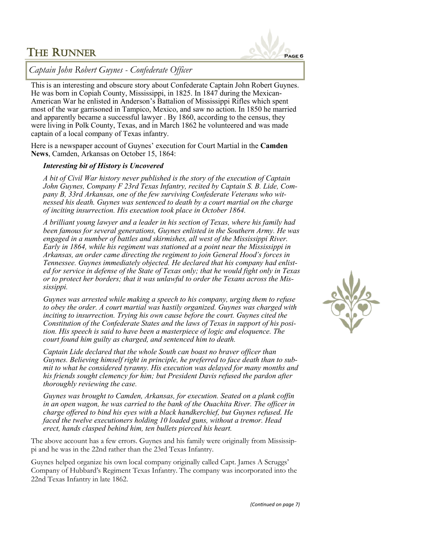

*Captain John Robert Guynes - Confederate Officer*

This is an interesting and obscure story about Confederate Captain John Robert Guynes. He was born in Copiah County, Mississippi, [in 1825.](https://www.findagrave.com/memorial/21430457/john-guynes) In 1847 during the Mexican-American War he enlisted in Anderson's Battalion of Mississippi Rifles which spent most of the war garrisoned in Tampico, Mexico, and saw no action. In 1850 he married and apparently became a successful lawyer . By 1860, according to the census, they were living in Polk County, Texas, and in March 1862 he volunteered and was made captain of a local company of Texas infantry.

Here is a newspaper account of Guynes' execution for Court Martial in the **Camden News**, Camden, Arkansas on October 15, 1864:

#### *Interesting bit of History is Uncovered*

*A bit of Civil War history never published is the story of the execution of Captain John Guynes, Company F 23rd Texas Infantry, recited by Captain S. B. Lide, Company B, 33rd Arkansas, one of the few surviving Confederate Veterans who witnessed his death. Guynes was sentenced to death by a court martial on the charge of inciting insurrection. His execution took place in October 1864.*

*A brilliant young lawyer and a leader in his section of Texas, where his family had been famous for several generations, Guynes enlisted in the Southern Army. He was engaged in a number of battles and skirmishes, all west of the Mississippi River. Early in 1864, while his regiment was stationed at a point near the Mississippi in Arkansas, an order came directing the regiment to join General Hood's forces in Tennessee. Guynes immediately objected. He declared that his company had enlisted for service in defense of the State of Texas only; that he would fight only in Texas or to protect her borders; that it was unlawful to order the Texans across the Mississippi.* 

*Guynes was arrested while making a speech to his company, urging them to refuse to obey the order. A court martial was hastily organized. Guynes was charged with inciting to insurrection. Trying his own cause before the court. Guynes cited the Constitution of the Confederate States and the laws of Texas in support of his position. His speech is said to have been a masterpiece of logic and eloquence. The court found him guilty as charged, and sentenced him to death.*

*Captain Lide declared that the whole South can boast no braver officer than Guynes. Believing himself right in principle, he preferred to face death than to submit to what he considered tyranny. His execution was delayed for many months and his friends sought clemency for him; but President Davis refused the pardon after thoroughly reviewing the case.* 

*Guynes was brought to Camden, Arkansas, for execution. Seated on a plank coffin in an open wagon, he was carried to the bank of the Ouachita River. The officer in charge offered to bind his eyes with a black handkerchief, but Guynes refused. He faced the twelve executioners holding 10 loaded guns, without a tremor. Head erect, hands clasped behind him, ten bullets pierced his heart.*

The above account has a few errors. Guynes and his family were originally from Mississippi and he was in the 22nd rather than the 23rd Texas Infantry.

Guynes helped organize his own local company originally called Capt. James A Scruggs' Company of Hubbard's Regiment Texas Infantry. The company was incorporated into the 22nd Texas Infantry in late 1862.

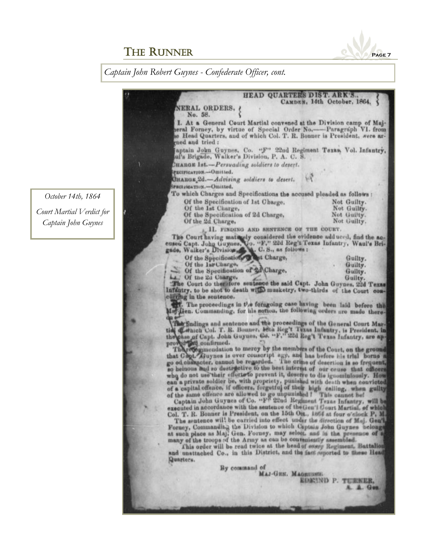

*Captain John Robert Guynes - Confederate Officer, cont.*

*October 14th, 1864 Court Martial Verdict for Captain John Guynes*

| HEAD QUARTERS DIST. A                                                                                                                                                                                                                                       |                             |
|-------------------------------------------------------------------------------------------------------------------------------------------------------------------------------------------------------------------------------------------------------------|-----------------------------|
| NERAL ORDERS,                                                                                                                                                                                                                                               | CAMDEN, 14th October, 1864. |
| No. 58.                                                                                                                                                                                                                                                     |                             |
| I. At a General Court Martial convened at the Division camp of Maj-<br>eral Forney, by virtue of Special Order No.-Paragraph V1. from<br>e Head Quarters, and of which Col. T. R. Bonner is President, were ar-<br>med and tried:                           |                             |
| aptain John Guynes, Co. "F" 22nd Regiment Texas, Vol. Infantry,<br>ul's Brigade, Walker's Division, P. A. C. S.                                                                                                                                             |                             |
| CHARGE 1st.-Persuading soldiers to desert.                                                                                                                                                                                                                  |                             |
| PECIFICATION.-Omitted.                                                                                                                                                                                                                                      |                             |
| W<br>GHARGE <sub>2d</sub> .-Advising soldiers to desert.                                                                                                                                                                                                    |                             |
| SPECIFICATION.-Omitted.                                                                                                                                                                                                                                     |                             |
| To which Charges and Specifications the accused pleaded as follows :                                                                                                                                                                                        |                             |
| Of the Specification of 1st Charge,                                                                                                                                                                                                                         | Not Guilty.                 |
| Of the lat Charge,                                                                                                                                                                                                                                          | Not Guilty.                 |
| Of the Specification of 2d Charge,                                                                                                                                                                                                                          | Not Guilty.                 |
| Of the 2d Charge,                                                                                                                                                                                                                                           | Not Guilty.                 |
| II. FINDING AND SENTENCE OF THE COURT.                                                                                                                                                                                                                      |                             |
| The Court having maturely considered the evidence adduced, find the ac-<br>eused Capt. John Guynes, Co. "F." 22d Reg't Texas Infantry, Waul's Brigade, Walker's Division, C. S., as follows:                                                                |                             |
| Of the Specification of that Charge,                                                                                                                                                                                                                        | Guilty.                     |
| Of the Inr Charge.                                                                                                                                                                                                                                          | Guilty.                     |
| Of the Specification of 2d Charge,                                                                                                                                                                                                                          | Guilty.                     |
| L. Of the 2d Charge.                                                                                                                                                                                                                                        | Guilty.                     |
| The Court do therefore sentence the said Capt. John Guynes, 22d Texas                                                                                                                                                                                       |                             |
| Infantry, to be shot to death with musketry, two-thirds of the Court con-<br>curring in the sontence.                                                                                                                                                       |                             |
| The proceedings in the foragoing case having been laid before the                                                                                                                                                                                           |                             |
| May-Gen. Commanding, for his notion, the following orders are made there-<br>dga er                                                                                                                                                                         |                             |
| The findings and sentence and the proceedings of the General Court Mar-<br>tich Conich Col. T. R. Bonner, lein Reg't Texas Infantry, is President, in<br>the pass of Capt. John Guynes, Co. "F," 22d Reg't Texas Infantry, are ap-<br>proved and confirmed. |                             |
| The recommendation to mercy by the members of the Court, on the ground<br>that Cont. Guynes is over conscript age, and has before his trial borne a                                                                                                         |                             |
| go od character, cannot be regarded. The crime of desertion is so frequent,                                                                                                                                                                                 |                             |
| so heinous sud so destructive to the best interest of our cruse that officers                                                                                                                                                                               |                             |
| who do not use their efforte to prevent it, deserve to die ignominiously. How<br>can a private soldier be, with propriety, punished with death when convicted                                                                                               |                             |
|                                                                                                                                                                                                                                                             |                             |
| of a capital offence, if officers, forgetful of their high calling, when guilty of the same offence are allowed to go unpunished ! This cannot he!<br>Captain John Guynes of Co. "F" 22nd Regiment Texas Infantry. will be                                  |                             |
| executed in accordance with the seutence of the Gen'l Court Martial, of which                                                                                                                                                                               |                             |
| Col. T. R. Bonner is President, on the 15th Oct., 1864 at four o'clock P, M.<br>The sentence will be carried into effect under the direction of Mej. Gen'l,                                                                                                 |                             |
| Forney, Commandit.: the Division to which Captain John Govern belongs                                                                                                                                                                                       |                             |

at such place as Maj. Gen. Forney, may select. and in the presence of a many of the troops of the Army as can be conveniently assembled.<br>This order will be read twice at the head of exacy Regiment. Battalion and unstincted

Quarters.

By command of Mas-Gun. Magnussus.

EDENND P. TURNER.

A. Gen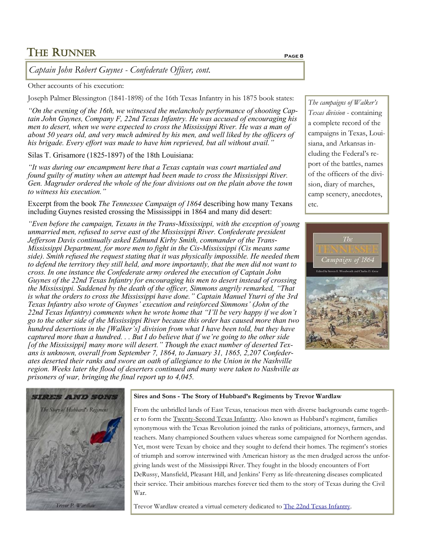*Captain John Robert Guynes - Confederate Officer, cont.*

Other accounts of his execution:

Joseph Palmer Blessington (1841-1898) of the 16th Texas Infantry in his 1875 book states:

*"On the evening of the 16th, we witnessed the melancholy performance of shooting Captain John Guynes, Company F, 22nd Texas Infantry. He was accused of encouraging his men to desert, when we were expected to cross the Mississippi River. He was a man of about 50 years old, and very much admired by his men, and well liked by the officers of his brigade. Every effort was made to have him reprieved, but all without avail."*

Silas T. Grisamore (1825-1897) of the 18th Louisiana:

*"It was during our encampment here that a Texas captain was court martialed and found guilty of mutiny when an attempt had been made to cross the Mississippi River. Gen. Magruder ordered the whole of the four divisions out on the plain above the town to witness his execution."*

Excerpt from the book *[The Tennessee Campaign of 1864](https://books.google.com/books?id=3AdVCwAAQBAJ&pg=PA212&lpg=PA212&dq=%22that+is+what+the+orders+to+cross+the+mississippi+river+have+done%22&source=bl&ots=FeTn4fQWgF&sig=ACfU3U0W_XWBEXA5KsQ8OMr5m72yaNhSFA&hl=en&sa=X&ved=2ahUKEwjm39Xk1v7pAhV-TDABHaqSAagQ6AEwAHo)* describing how many Texans including Guynes resisted crossing the Mississippi in 1864 and many did desert:

*"Even before the campaign, Texans in the Trans-Mississippi, with the exception of young unmarried men, refused to serve east of the Mississippi River. Confederate president Jefferson Davis continually asked Edmund Kirby Smith, commander of the Trans-Mississippi Department, for more men to fight in the Cis-Mississippi (Cis means same side). Smith refused the request stating that it was physically impossible. He needed them to defend the territory they still held, and more importantly, that the men did not want to cross. In one instance the Confederate army ordered the execution of Captain John Guynes of the 22nd Texas Infantry for encouraging his men to desert instead of crossing the Mississippi. Saddened by the death of the officer, Simmons angrily remarked, "That is what the orders to cross the Mississippi have done." Captain Manuel Yturri of the 3rd Texas Infantry also wrote of Guynes' execution and reinforced Simmons' (John of the 22nd Texas Infantry) comments when he wrote home that "I'll be very happy if we don't go to the other side of the Mississippi River because this order has caused more than two hundred desertions in the [Walker's] division from what I have been told, but they have captured more than a hundred. . . But I do believe that if we're going to the other side [of the Mississippi] many more will desert." Though the exact number of deserted Texans is unknown, overall from September 7, 1864, to January 31, 1865, 2,207 Confederates deserted their ranks and swore an oath of allegiance to the Union in the Nashville region. Weeks later the flood of deserters continued and many were taken to Nashville as prisoners of war, bringing the final report up to 4,045.*

*The campaigns of Walker's Texas division* - containing a complete record of the campaigns in Texas, Louisiana, and Arkansas including the Federal's report of the battles, names of the officers of the division, diary of marches, camp scenery, anecdotes, etc.





#### **Sires and Sons - The Story of Hubbard's Regiments by Trevor Wardlaw**

From the unbridled lands of East Texas, tenacious men with diverse backgrounds came together to form the Twenty-Second Texas Infantry. Also known as Hubbard's regiment, families synonymous with the Texas Revolution joined the ranks of politicians, attorneys, farmers, and teachers. Many championed Southern values whereas some campaigned for Northern agendas. Yet, most were Texan by choice and they sought to defend their homes. The regiment's stories of triumph and sorrow intertwined with American history as the men drudged across the unforgiving lands west of the Mississippi River. They fought in the bloody encounters of Fort DeRussy, Mansfield, Pleasant Hill, and Jenkins' Ferry as life-threatening diseases complicated their service. Their ambitious marches forever tied them to the story of Texas during the Civil War.

Trevor Wardlaw created a virtual cemetery dedicated to [The 22nd Texas Infantry.](https://www.findagrave.com/virtual-cemetery/433350?page=1#sr-26231824)